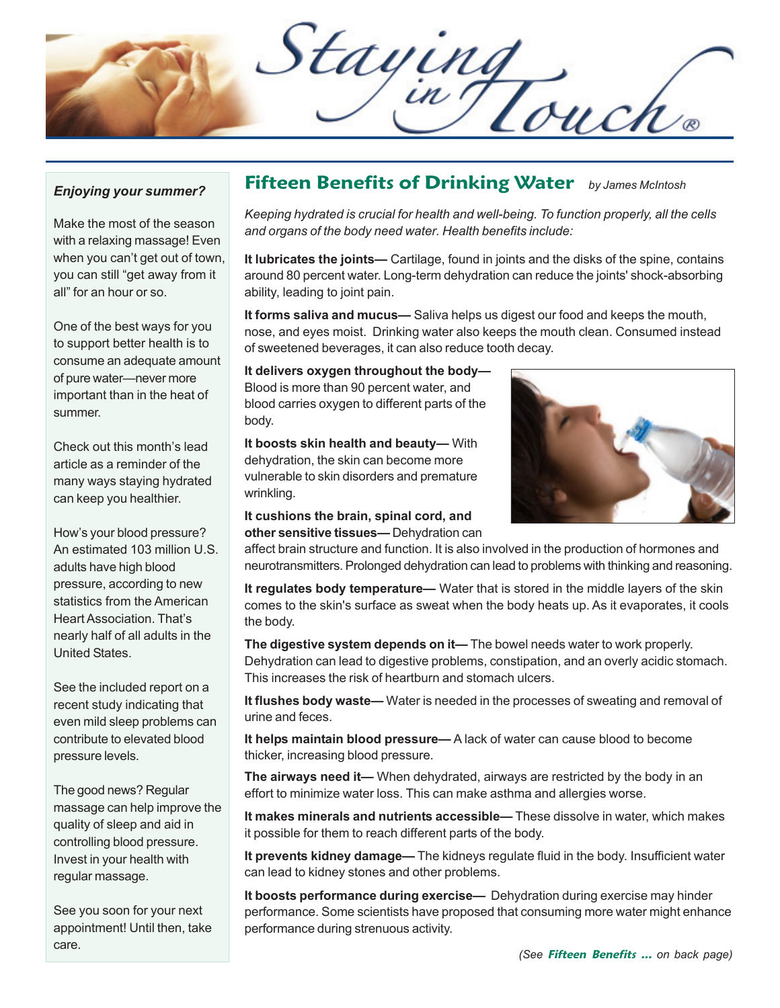Staying

## *Enjoying your summer?*

Make the most of the season with a relaxing massage! Even when you can't get out of town, you can still "get away from it all" for an hour or so.

One of the best ways for you to support better health is to consume an adequate amount of pure water—never more important than in the heat of summer.

Check out this month's lead article as a reminder of the many ways staying hydrated can keep you healthier.

How's your blood pressure? An estimated 103 million U.S. adults have high blood pressure, according to new statistics from the American Heart Association. That's nearly half of all adults in the United States.

See the included report on a recent study indicating that even mild sleep problems can contribute to elevated blood pressure levels.

The good news? Regular massage can help improve the quality of sleep and aid in controlling blood pressure. Invest in your health with regular massage.

See you soon for your next appointment! Until then, take care.

## **Fifteen Benefits of Drinking Water** *by James McIntosh*

*Keeping hydrated is crucial for health and well-being. To function properly, all the cells and organs of the body need water. Health benefits include:*

**It lubricates the joints—** Cartilage, found in joints and the disks of the spine, contains around 80 percent water. Long-term dehydration can reduce the joints' shock-absorbing ability, leading to joint pain.

**It forms saliva and mucus—** Saliva helps us digest our food and keeps the mouth, nose, and eyes moist. Drinking water also keeps the mouth clean. Consumed instead of sweetened beverages, it can also reduce tooth decay.

**It delivers oxygen throughout the body—** Blood is more than 90 percent water, and blood carries oxygen to different parts of the body.

**It boosts skin health and beauty—** With dehydration, the skin can become more vulnerable to skin disorders and premature wrinkling.

**It cushions the brain, spinal cord, and other sensitive tissues—** Dehydration can



affect brain structure and function. It is also involved in the production of hormones and neurotransmitters. Prolonged dehydration can lead to problems with thinking and reasoning.

**It regulates body temperature—** Water that is stored in the middle layers of the skin comes to the skin's surface as sweat when the body heats up. As it evaporates, it cools the body.

**The digestive system depends on it—** The bowel needs water to work properly. Dehydration can lead to digestive problems, constipation, and an overly acidic stomach. This increases the risk of heartburn and stomach ulcers.

**It flushes body waste—** Water is needed in the processes of sweating and removal of urine and feces.

**It helps maintain blood pressure—** A lack of water can cause blood to become thicker, increasing blood pressure.

**The airways need it—** When dehydrated, airways are restricted by the body in an effort to minimize water loss. This can make asthma and allergies worse.

**It makes minerals and nutrients accessible—** These dissolve in water, which makes it possible for them to reach different parts of the body.

**It prevents kidney damage—** The kidneys regulate fluid in the body. Insufficient water can lead to kidney stones and other problems.

**It boosts performance during exercise—** Dehydration during exercise may hinder performance. Some scientists have proposed that consuming more water might enhance performance during strenuous activity.